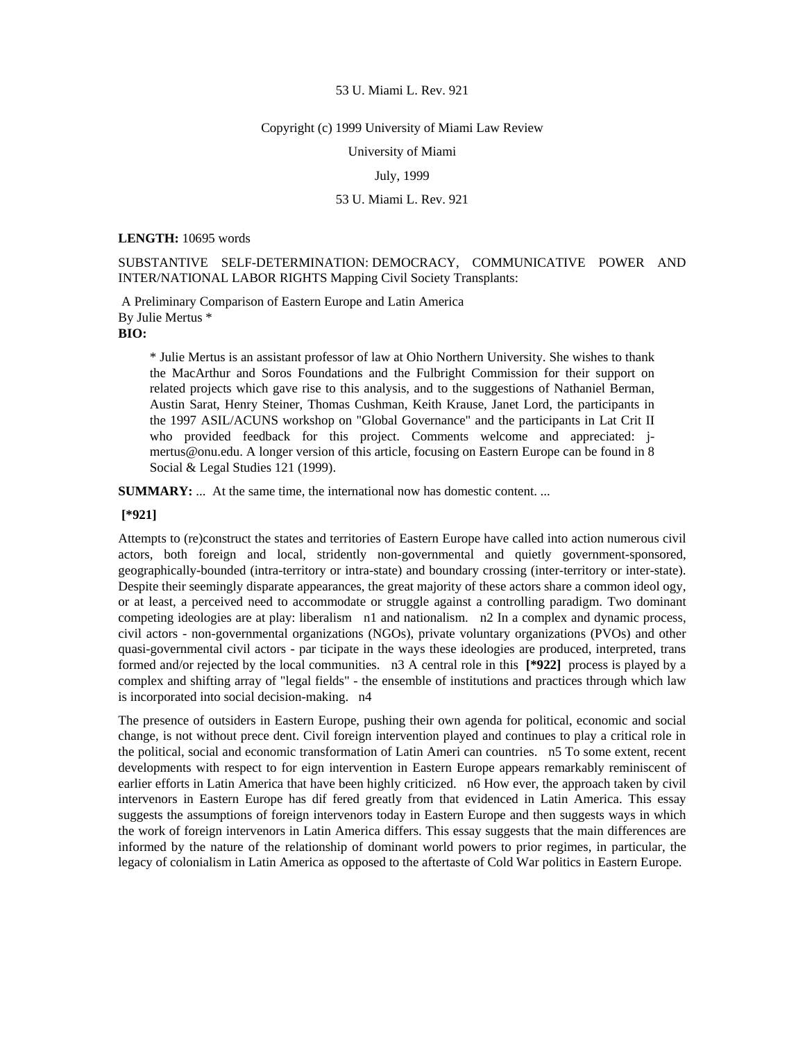## Copyright (c) 1999 University of Miami Law Review

University of Miami

# July, 1999

# 53 U. Miami L. Rev. 921

## **LENGTH:** 10695 words

SUBSTANTIVE SELF-DETERMINATION: DEMOCRACY, COMMUNICATIVE POWER AND INTER/NATIONAL LABOR RIGHTS Mapping Civil Society Transplants:

 A Preliminary Comparison of Eastern Europe and Latin America By Julie Mertus \*

**BIO:** 

\* Julie Mertus is an assistant professor of law at Ohio Northern University. She wishes to thank the MacArthur and Soros Foundations and the Fulbright Commission for their support on related projects which gave rise to this analysis, and to the suggestions of Nathaniel Berman, Austin Sarat, Henry Steiner, Thomas Cushman, Keith Krause, Janet Lord, the participants in the 1997 ASIL/ACUNS workshop on "Global Governance" and the participants in Lat Crit II who provided feedback for this project. Comments welcome and appreciated: jmertus@onu.edu. A longer version of this article, focusing on Eastern Europe can be found in 8 Social & Legal Studies 121 (1999).

**SUMMARY:** ... At the same time, the international now has domestic content. ...

# **[\*921]**

Attempts to (re)construct the states and territories of Eastern Europe have called into action numerous civil actors, both foreign and local, stridently non-governmental and quietly government-sponsored, geographically-bounded (intra-territory or intra-state) and boundary crossing (inter-territory or inter-state). Despite their seemingly disparate appearances, the great majority of these actors share a common ideol ogy, or at least, a perceived need to accommodate or struggle against a controlling paradigm. Two dominant competing ideologies are at play: liberalism n1 and nationalism. n2 In a complex and dynamic process, civil actors - non-governmental organizations (NGOs), private voluntary organizations (PVOs) and other quasi-governmental civil actors - par ticipate in the ways these ideologies are produced, interpreted, trans formed and/or rejected by the local communities. n3 A central role in this **[\*922]** process is played by a complex and shifting array of "legal fields" - the ensemble of institutions and practices through which law is incorporated into social decision-making. n4

The presence of outsiders in Eastern Europe, pushing their own agenda for political, economic and social change, is not without prece dent. Civil foreign intervention played and continues to play a critical role in the political, social and economic transformation of Latin Ameri can countries. n5 To some extent, recent developments with respect to for eign intervention in Eastern Europe appears remarkably reminiscent of earlier efforts in Latin America that have been highly criticized. n6 How ever, the approach taken by civil intervenors in Eastern Europe has dif fered greatly from that evidenced in Latin America. This essay suggests the assumptions of foreign intervenors today in Eastern Europe and then suggests ways in which the work of foreign intervenors in Latin America differs. This essay suggests that the main differences are informed by the nature of the relationship of dominant world powers to prior regimes, in particular, the legacy of colonialism in Latin America as opposed to the aftertaste of Cold War politics in Eastern Europe.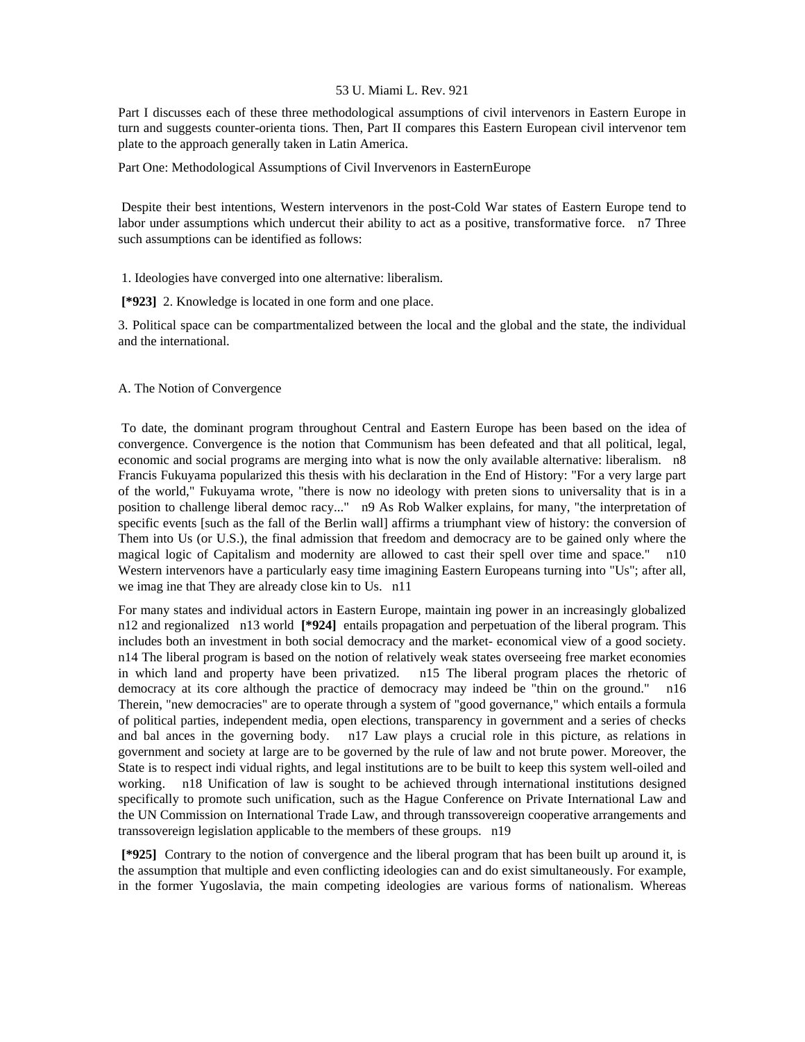Part I discusses each of these three methodological assumptions of civil intervenors in Eastern Europe in turn and suggests counter-orienta tions. Then, Part II compares this Eastern European civil intervenor tem plate to the approach generally taken in Latin America.

Part One: Methodological Assumptions of Civil Invervenors in EasternEurope

 Despite their best intentions, Western intervenors in the post-Cold War states of Eastern Europe tend to labor under assumptions which undercut their ability to act as a positive, transformative force. n7 Three such assumptions can be identified as follows:

1. Ideologies have converged into one alternative: liberalism.

 **[\*923]** 2. Knowledge is located in one form and one place.

3. Political space can be compartmentalized between the local and the global and the state, the individual and the international.

A. The Notion of Convergence

 To date, the dominant program throughout Central and Eastern Europe has been based on the idea of convergence. Convergence is the notion that Communism has been defeated and that all political, legal, economic and social programs are merging into what is now the only available alternative: liberalism. n8 Francis Fukuyama popularized this thesis with his declaration in the End of History: "For a very large part of the world," Fukuyama wrote, "there is now no ideology with preten sions to universality that is in a position to challenge liberal democ racy..." n9 As Rob Walker explains, for many, "the interpretation of specific events [such as the fall of the Berlin wall] affirms a triumphant view of history: the conversion of Them into Us (or U.S.), the final admission that freedom and democracy are to be gained only where the magical logic of Capitalism and modernity are allowed to cast their spell over time and space." n10 Western intervenors have a particularly easy time imagining Eastern Europeans turning into "Us"; after all, we imag ine that They are already close kin to Us. n11

For many states and individual actors in Eastern Europe, maintain ing power in an increasingly globalized n12 and regionalized n13 world **[\*924]** entails propagation and perpetuation of the liberal program. This includes both an investment in both social democracy and the market- economical view of a good society. n14 The liberal program is based on the notion of relatively weak states overseeing free market economies<br>in which land and property have been privatized. n15 The liberal program places the rhetoric of in which land and property have been privatized. democracy at its core although the practice of democracy may indeed be "thin on the ground." n16 Therein, "new democracies" are to operate through a system of "good governance," which entails a formula of political parties, independent media, open elections, transparency in government and a series of checks and bal ances in the governing body. n17 Law plays a crucial role in this picture, as relations in government and society at large are to be governed by the rule of law and not brute power. Moreover, the State is to respect indi vidual rights, and legal institutions are to be built to keep this system well-oiled and working. n18 Unification of law is sought to be achieved through international institutions designed specifically to promote such unification, such as the Hague Conference on Private International Law and the UN Commission on International Trade Law, and through transsovereign cooperative arrangements and transsovereign legislation applicable to the members of these groups. n19

 **[\*925]** Contrary to the notion of convergence and the liberal program that has been built up around it, is the assumption that multiple and even conflicting ideologies can and do exist simultaneously. For example, in the former Yugoslavia, the main competing ideologies are various forms of nationalism. Whereas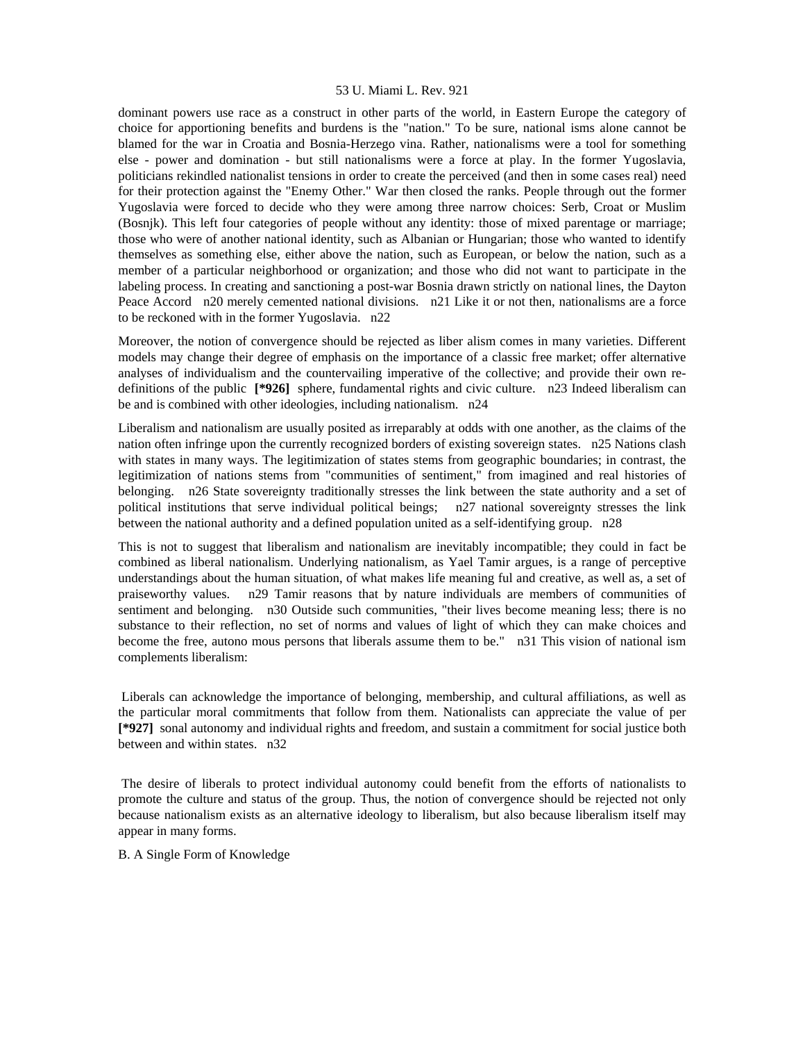dominant powers use race as a construct in other parts of the world, in Eastern Europe the category of choice for apportioning benefits and burdens is the "nation." To be sure, national isms alone cannot be blamed for the war in Croatia and Bosnia-Herzego vina. Rather, nationalisms were a tool for something else - power and domination - but still nationalisms were a force at play. In the former Yugoslavia, politicians rekindled nationalist tensions in order to create the perceived (and then in some cases real) need for their protection against the "Enemy Other." War then closed the ranks. People through out the former Yugoslavia were forced to decide who they were among three narrow choices: Serb, Croat or Muslim (Bosnjk). This left four categories of people without any identity: those of mixed parentage or marriage; those who were of another national identity, such as Albanian or Hungarian; those who wanted to identify themselves as something else, either above the nation, such as European, or below the nation, such as a member of a particular neighborhood or organization; and those who did not want to participate in the labeling process. In creating and sanctioning a post-war Bosnia drawn strictly on national lines, the Dayton Peace Accord n20 merely cemented national divisions. n21 Like it or not then, nationalisms are a force to be reckoned with in the former Yugoslavia. n22

Moreover, the notion of convergence should be rejected as liber alism comes in many varieties. Different models may change their degree of emphasis on the importance of a classic free market; offer alternative analyses of individualism and the countervailing imperative of the collective; and provide their own redefinitions of the public **[\*926]** sphere, fundamental rights and civic culture. n23 Indeed liberalism can be and is combined with other ideologies, including nationalism. n24

Liberalism and nationalism are usually posited as irreparably at odds with one another, as the claims of the nation often infringe upon the currently recognized borders of existing sovereign states. n25 Nations clash with states in many ways. The legitimization of states stems from geographic boundaries; in contrast, the legitimization of nations stems from "communities of sentiment," from imagined and real histories of belonging. n26 State sovereignty traditionally stresses the link between the state authority and a set of political institutions that serve individual political beings; n27 national sovereignty stresses the link between the national authority and a defined population united as a self-identifying group. n28

This is not to suggest that liberalism and nationalism are inevitably incompatible; they could in fact be combined as liberal nationalism. Underlying nationalism, as Yael Tamir argues, is a range of perceptive understandings about the human situation, of what makes life meaning ful and creative, as well as, a set of praiseworthy values. n29 Tamir reasons that by nature individuals are members of communities of sentiment and belonging. n30 Outside such communities, "their lives become meaning less; there is no substance to their reflection, no set of norms and values of light of which they can make choices and become the free, autono mous persons that liberals assume them to be." n31 This vision of national ism complements liberalism:

 Liberals can acknowledge the importance of belonging, membership, and cultural affiliations, as well as the particular moral commitments that follow from them. Nationalists can appreciate the value of per **[\*927]** sonal autonomy and individual rights and freedom, and sustain a commitment for social justice both between and within states. n32

 The desire of liberals to protect individual autonomy could benefit from the efforts of nationalists to promote the culture and status of the group. Thus, the notion of convergence should be rejected not only because nationalism exists as an alternative ideology to liberalism, but also because liberalism itself may appear in many forms.

B. A Single Form of Knowledge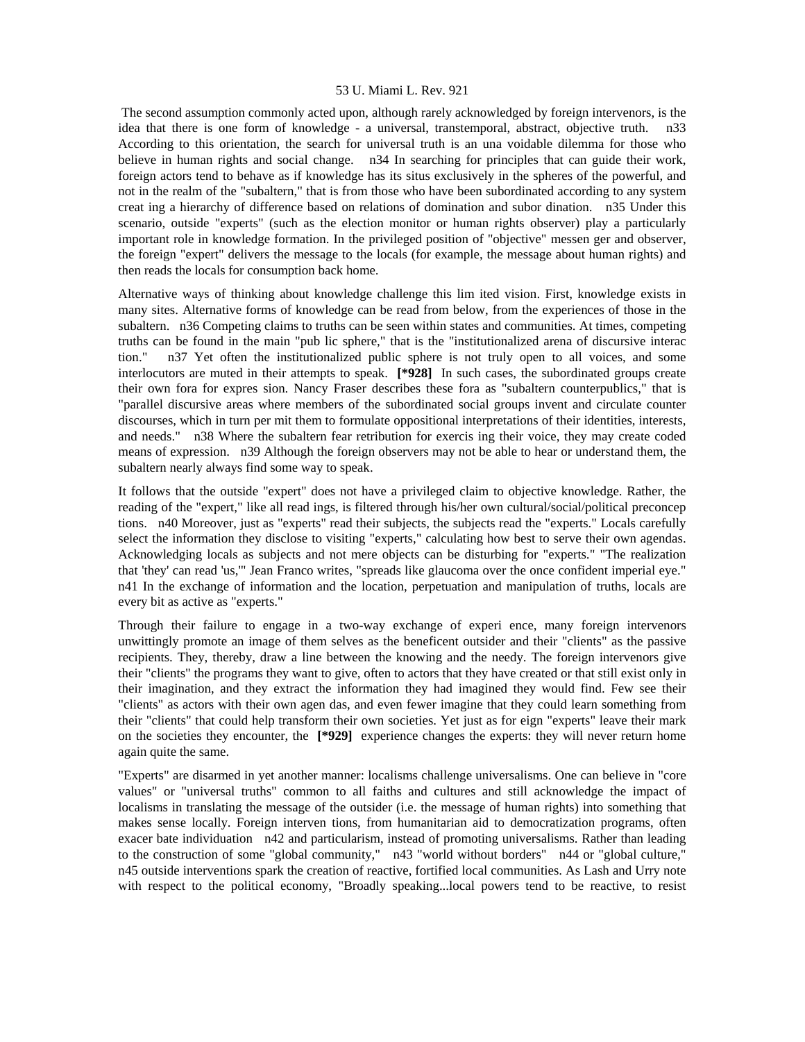The second assumption commonly acted upon, although rarely acknowledged by foreign intervenors, is the idea that there is one form of knowledge - a universal, transtemporal, abstract, objective truth. n33 According to this orientation, the search for universal truth is an una voidable dilemma for those who believe in human rights and social change. n34 In searching for principles that can guide their work, foreign actors tend to behave as if knowledge has its situs exclusively in the spheres of the powerful, and not in the realm of the "subaltern," that is from those who have been subordinated according to any system creat ing a hierarchy of difference based on relations of domination and subor dination. n35 Under this scenario, outside "experts" (such as the election monitor or human rights observer) play a particularly important role in knowledge formation. In the privileged position of "objective" messen ger and observer, the foreign "expert" delivers the message to the locals (for example, the message about human rights) and then reads the locals for consumption back home.

Alternative ways of thinking about knowledge challenge this lim ited vision. First, knowledge exists in many sites. Alternative forms of knowledge can be read from below, from the experiences of those in the subaltern. n36 Competing claims to truths can be seen within states and communities. At times, competing truths can be found in the main "pub lic sphere," that is the "institutionalized arena of discursive interac tion." n37 Yet often the institutionalized public sphere is not truly open to all voices, and some interlocutors are muted in their attempts to speak. **[\*928]** In such cases, the subordinated groups create their own fora for expres sion. Nancy Fraser describes these fora as "subaltern counterpublics," that is "parallel discursive areas where members of the subordinated social groups invent and circulate counter discourses, which in turn per mit them to formulate oppositional interpretations of their identities, interests, and needs." n38 Where the subaltern fear retribution for exercis ing their voice, they may create coded means of expression. n39 Although the foreign observers may not be able to hear or understand them, the subaltern nearly always find some way to speak.

It follows that the outside "expert" does not have a privileged claim to objective knowledge. Rather, the reading of the "expert," like all read ings, is filtered through his/her own cultural/social/political preconcep tions. n40 Moreover, just as "experts" read their subjects, the subjects read the "experts." Locals carefully select the information they disclose to visiting "experts," calculating how best to serve their own agendas. Acknowledging locals as subjects and not mere objects can be disturbing for "experts." "The realization that 'they' can read 'us,'" Jean Franco writes, "spreads like glaucoma over the once confident imperial eye." n41 In the exchange of information and the location, perpetuation and manipulation of truths, locals are every bit as active as "experts."

Through their failure to engage in a two-way exchange of experi ence, many foreign intervenors unwittingly promote an image of them selves as the beneficent outsider and their "clients" as the passive recipients. They, thereby, draw a line between the knowing and the needy. The foreign intervenors give their "clients" the programs they want to give, often to actors that they have created or that still exist only in their imagination, and they extract the information they had imagined they would find. Few see their "clients" as actors with their own agen das, and even fewer imagine that they could learn something from their "clients" that could help transform their own societies. Yet just as for eign "experts" leave their mark on the societies they encounter, the **[\*929]** experience changes the experts: they will never return home again quite the same.

"Experts" are disarmed in yet another manner: localisms challenge universalisms. One can believe in "core values" or "universal truths" common to all faiths and cultures and still acknowledge the impact of localisms in translating the message of the outsider (i.e. the message of human rights) into something that makes sense locally. Foreign interven tions, from humanitarian aid to democratization programs, often exacer bate individuation n42 and particularism, instead of promoting universalisms. Rather than leading to the construction of some "global community," n43 "world without borders" n44 or "global culture," n45 outside interventions spark the creation of reactive, fortified local communities. As Lash and Urry note with respect to the political economy, "Broadly speaking...local powers tend to be reactive, to resist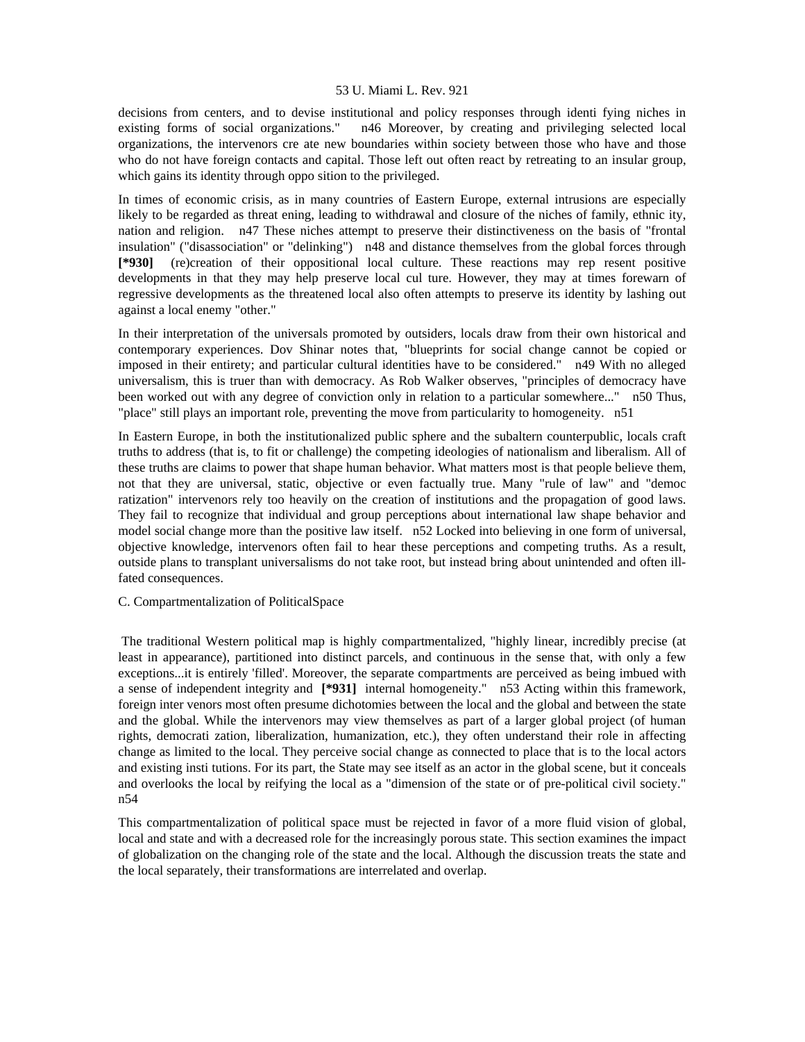decisions from centers, and to devise institutional and policy responses through identi fying niches in existing forms of social organizations." n46 Moreover, by creating and privileging selected local organizations, the intervenors cre ate new boundaries within society between those who have and those who do not have foreign contacts and capital. Those left out often react by retreating to an insular group, which gains its identity through oppo sition to the privileged.

In times of economic crisis, as in many countries of Eastern Europe, external intrusions are especially likely to be regarded as threat ening, leading to withdrawal and closure of the niches of family, ethnic ity, nation and religion. n47 These niches attempt to preserve their distinctiveness on the basis of "frontal insulation" ("disassociation" or "delinking") n48 and distance themselves from the global forces through **[\*930]** (re)creation of their oppositional local culture. These reactions may rep resent positive developments in that they may help preserve local cul ture. However, they may at times forewarn of regressive developments as the threatened local also often attempts to preserve its identity by lashing out against a local enemy "other."

In their interpretation of the universals promoted by outsiders, locals draw from their own historical and contemporary experiences. Dov Shinar notes that, "blueprints for social change cannot be copied or imposed in their entirety; and particular cultural identities have to be considered." n49 With no alleged universalism, this is truer than with democracy. As Rob Walker observes, "principles of democracy have been worked out with any degree of conviction only in relation to a particular somewhere..." n50 Thus, "place" still plays an important role, preventing the move from particularity to homogeneity. n51

In Eastern Europe, in both the institutionalized public sphere and the subaltern counterpublic, locals craft truths to address (that is, to fit or challenge) the competing ideologies of nationalism and liberalism. All of these truths are claims to power that shape human behavior. What matters most is that people believe them, not that they are universal, static, objective or even factually true. Many "rule of law" and "democ ratization" intervenors rely too heavily on the creation of institutions and the propagation of good laws. They fail to recognize that individual and group perceptions about international law shape behavior and model social change more than the positive law itself. n52 Locked into believing in one form of universal, objective knowledge, intervenors often fail to hear these perceptions and competing truths. As a result, outside plans to transplant universalisms do not take root, but instead bring about unintended and often illfated consequences.

# C. Compartmentalization of PoliticalSpace

 The traditional Western political map is highly compartmentalized, "highly linear, incredibly precise (at least in appearance), partitioned into distinct parcels, and continuous in the sense that, with only a few exceptions...it is entirely 'filled'. Moreover, the separate compartments are perceived as being imbued with a sense of independent integrity and **[\*931]** internal homogeneity." n53 Acting within this framework, foreign inter venors most often presume dichotomies between the local and the global and between the state and the global. While the intervenors may view themselves as part of a larger global project (of human rights, democrati zation, liberalization, humanization, etc.), they often understand their role in affecting change as limited to the local. They perceive social change as connected to place that is to the local actors and existing insti tutions. For its part, the State may see itself as an actor in the global scene, but it conceals and overlooks the local by reifying the local as a "dimension of the state or of pre-political civil society." n54

This compartmentalization of political space must be rejected in favor of a more fluid vision of global, local and state and with a decreased role for the increasingly porous state. This section examines the impact of globalization on the changing role of the state and the local. Although the discussion treats the state and the local separately, their transformations are interrelated and overlap.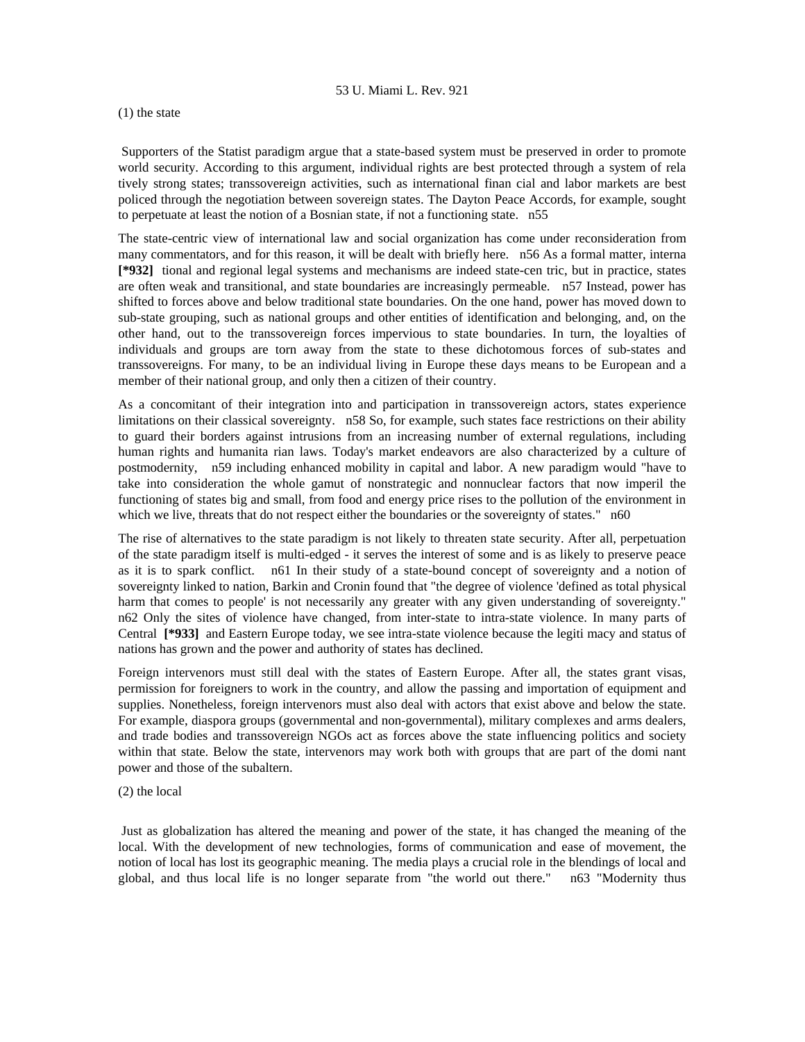# (1) the state

 Supporters of the Statist paradigm argue that a state-based system must be preserved in order to promote world security. According to this argument, individual rights are best protected through a system of rela tively strong states; transsovereign activities, such as international finan cial and labor markets are best policed through the negotiation between sovereign states. The Dayton Peace Accords, for example, sought to perpetuate at least the notion of a Bosnian state, if not a functioning state. n55

The state-centric view of international law and social organization has come under reconsideration from many commentators, and for this reason, it will be dealt with briefly here. n56 As a formal matter, interna **[\*932]** tional and regional legal systems and mechanisms are indeed state-cen tric, but in practice, states are often weak and transitional, and state boundaries are increasingly permeable. n57 Instead, power has shifted to forces above and below traditional state boundaries. On the one hand, power has moved down to sub-state grouping, such as national groups and other entities of identification and belonging, and, on the other hand, out to the transsovereign forces impervious to state boundaries. In turn, the loyalties of individuals and groups are torn away from the state to these dichotomous forces of sub-states and transsovereigns. For many, to be an individual living in Europe these days means to be European and a member of their national group, and only then a citizen of their country.

As a concomitant of their integration into and participation in transsovereign actors, states experience limitations on their classical sovereignty. n58 So, for example, such states face restrictions on their ability to guard their borders against intrusions from an increasing number of external regulations, including human rights and humanita rian laws. Today's market endeavors are also characterized by a culture of postmodernity, n59 including enhanced mobility in capital and labor. A new paradigm would "have to take into consideration the whole gamut of nonstrategic and nonnuclear factors that now imperil the functioning of states big and small, from food and energy price rises to the pollution of the environment in which we live, threats that do not respect either the boundaries or the sovereignty of states." n60

The rise of alternatives to the state paradigm is not likely to threaten state security. After all, perpetuation of the state paradigm itself is multi-edged - it serves the interest of some and is as likely to preserve peace as it is to spark conflict. n61 In their study of a state-bound concept of sovereignty and a notion of sovereignty linked to nation, Barkin and Cronin found that "the degree of violence 'defined as total physical harm that comes to people' is not necessarily any greater with any given understanding of sovereignty." n62 Only the sites of violence have changed, from inter-state to intra-state violence. In many parts of Central **[\*933]** and Eastern Europe today, we see intra-state violence because the legiti macy and status of nations has grown and the power and authority of states has declined.

Foreign intervenors must still deal with the states of Eastern Europe. After all, the states grant visas, permission for foreigners to work in the country, and allow the passing and importation of equipment and supplies. Nonetheless, foreign intervenors must also deal with actors that exist above and below the state. For example, diaspora groups (governmental and non-governmental), military complexes and arms dealers, and trade bodies and transsovereign NGOs act as forces above the state influencing politics and society within that state. Below the state, intervenors may work both with groups that are part of the domi nant power and those of the subaltern.

## (2) the local

 Just as globalization has altered the meaning and power of the state, it has changed the meaning of the local. With the development of new technologies, forms of communication and ease of movement, the notion of local has lost its geographic meaning. The media plays a crucial role in the blendings of local and global, and thus local life is no longer separate from "the world out there." n63 "Modernity thus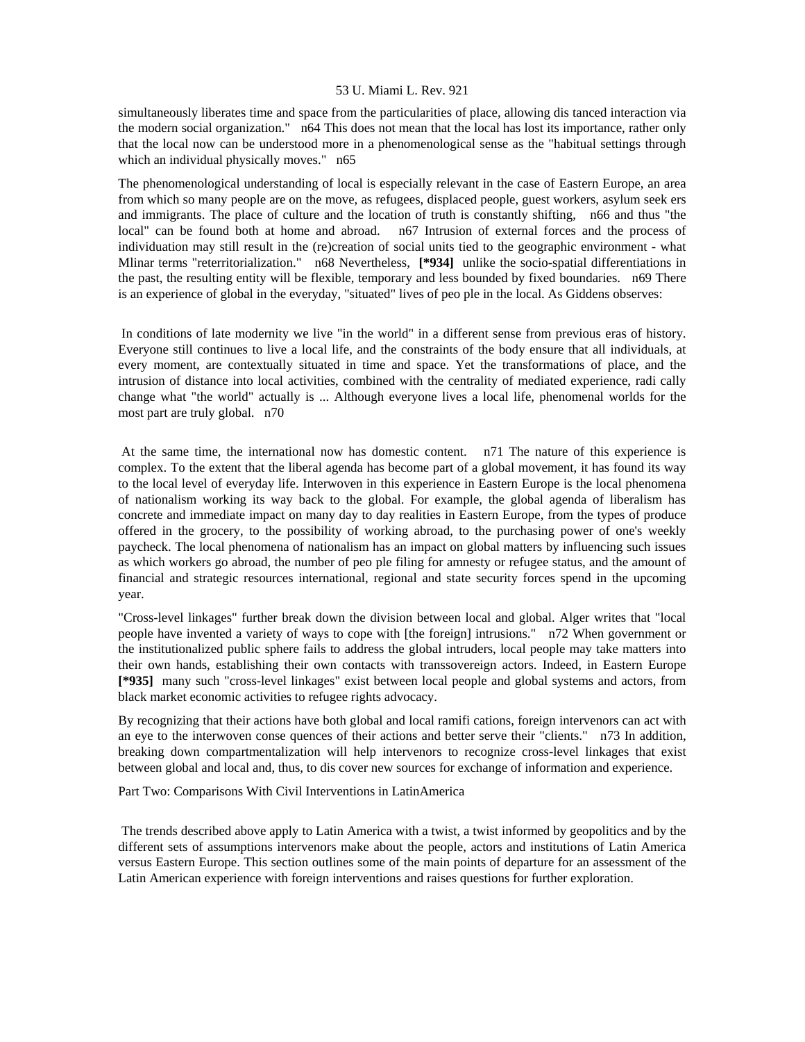simultaneously liberates time and space from the particularities of place, allowing dis tanced interaction via the modern social organization." n64 This does not mean that the local has lost its importance, rather only that the local now can be understood more in a phenomenological sense as the "habitual settings through which an individual physically moves." n65

The phenomenological understanding of local is especially relevant in the case of Eastern Europe, an area from which so many people are on the move, as refugees, displaced people, guest workers, asylum seek ers and immigrants. The place of culture and the location of truth is constantly shifting, n66 and thus "the local" can be found both at home and abroad. n67 Intrusion of external forces and the process of individuation may still result in the (re)creation of social units tied to the geographic environment - what Mlinar terms "reterritorialization." n68 Nevertheless, **[\*934]** unlike the socio-spatial differentiations in the past, the resulting entity will be flexible, temporary and less bounded by fixed boundaries. n69 There is an experience of global in the everyday, "situated" lives of peo ple in the local. As Giddens observes:

 In conditions of late modernity we live "in the world" in a different sense from previous eras of history. Everyone still continues to live a local life, and the constraints of the body ensure that all individuals, at every moment, are contextually situated in time and space. Yet the transformations of place, and the intrusion of distance into local activities, combined with the centrality of mediated experience, radi cally change what "the world" actually is ... Although everyone lives a local life, phenomenal worlds for the most part are truly global. n70

 At the same time, the international now has domestic content. n71 The nature of this experience is complex. To the extent that the liberal agenda has become part of a global movement, it has found its way to the local level of everyday life. Interwoven in this experience in Eastern Europe is the local phenomena of nationalism working its way back to the global. For example, the global agenda of liberalism has concrete and immediate impact on many day to day realities in Eastern Europe, from the types of produce offered in the grocery, to the possibility of working abroad, to the purchasing power of one's weekly paycheck. The local phenomena of nationalism has an impact on global matters by influencing such issues as which workers go abroad, the number of peo ple filing for amnesty or refugee status, and the amount of financial and strategic resources international, regional and state security forces spend in the upcoming year.

"Cross-level linkages" further break down the division between local and global. Alger writes that "local people have invented a variety of ways to cope with [the foreign] intrusions." n72 When government or the institutionalized public sphere fails to address the global intruders, local people may take matters into their own hands, establishing their own contacts with transsovereign actors. Indeed, in Eastern Europe **[\*935]** many such "cross-level linkages" exist between local people and global systems and actors, from black market economic activities to refugee rights advocacy.

By recognizing that their actions have both global and local ramifi cations, foreign intervenors can act with an eye to the interwoven conse quences of their actions and better serve their "clients." n73 In addition, breaking down compartmentalization will help intervenors to recognize cross-level linkages that exist between global and local and, thus, to dis cover new sources for exchange of information and experience.

Part Two: Comparisons With Civil Interventions in LatinAmerica

 The trends described above apply to Latin America with a twist, a twist informed by geopolitics and by the different sets of assumptions intervenors make about the people, actors and institutions of Latin America versus Eastern Europe. This section outlines some of the main points of departure for an assessment of the Latin American experience with foreign interventions and raises questions for further exploration.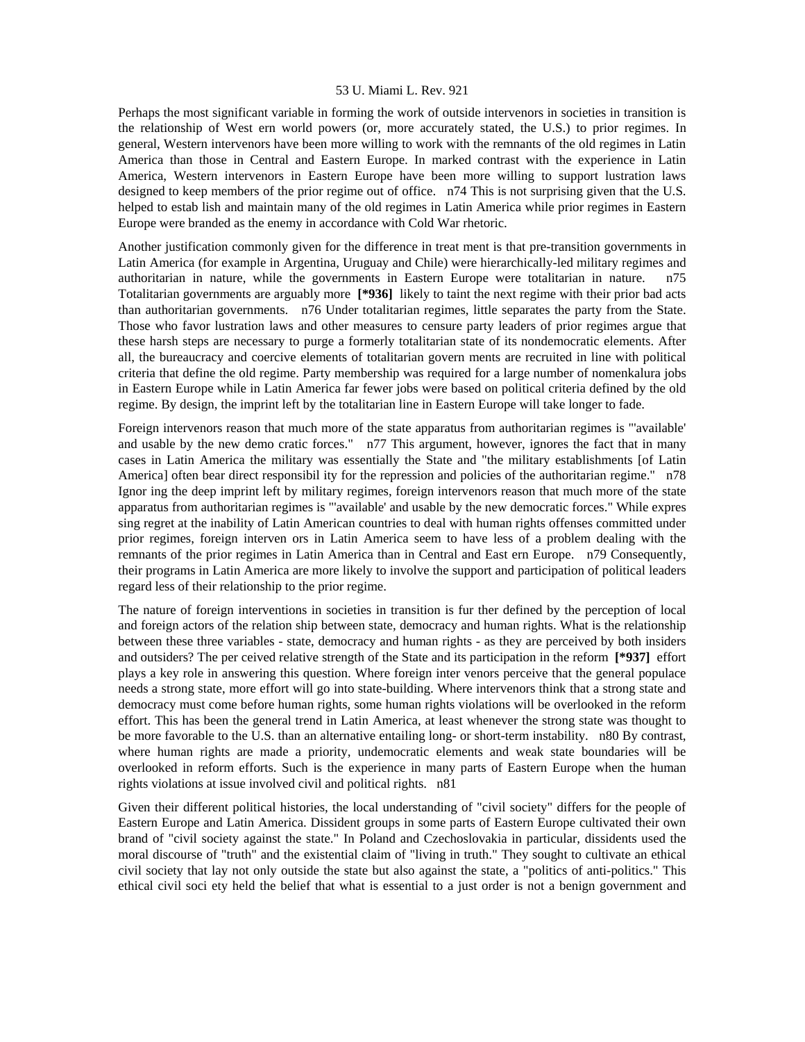Perhaps the most significant variable in forming the work of outside intervenors in societies in transition is the relationship of West ern world powers (or, more accurately stated, the U.S.) to prior regimes. In general, Western intervenors have been more willing to work with the remnants of the old regimes in Latin America than those in Central and Eastern Europe. In marked contrast with the experience in Latin America, Western intervenors in Eastern Europe have been more willing to support lustration laws designed to keep members of the prior regime out of office. n74 This is not surprising given that the U.S. helped to estab lish and maintain many of the old regimes in Latin America while prior regimes in Eastern Europe were branded as the enemy in accordance with Cold War rhetoric.

Another justification commonly given for the difference in treat ment is that pre-transition governments in Latin America (for example in Argentina, Uruguay and Chile) were hierarchically-led military regimes and authoritarian in nature, while the governments in Eastern Europe were totalitarian in nature. n75 Totalitarian governments are arguably more **[\*936]** likely to taint the next regime with their prior bad acts than authoritarian governments. n76 Under totalitarian regimes, little separates the party from the State. Those who favor lustration laws and other measures to censure party leaders of prior regimes argue that these harsh steps are necessary to purge a formerly totalitarian state of its nondemocratic elements. After all, the bureaucracy and coercive elements of totalitarian govern ments are recruited in line with political criteria that define the old regime. Party membership was required for a large number of nomenkalura jobs in Eastern Europe while in Latin America far fewer jobs were based on political criteria defined by the old regime. By design, the imprint left by the totalitarian line in Eastern Europe will take longer to fade.

Foreign intervenors reason that much more of the state apparatus from authoritarian regimes is "'available' and usable by the new demo cratic forces." n77 This argument, however, ignores the fact that in many cases in Latin America the military was essentially the State and "the military establishments [of Latin America] often bear direct responsibil ity for the repression and policies of the authoritarian regime." n78 Ignor ing the deep imprint left by military regimes, foreign intervenors reason that much more of the state apparatus from authoritarian regimes is "'available' and usable by the new democratic forces." While expres sing regret at the inability of Latin American countries to deal with human rights offenses committed under prior regimes, foreign interven ors in Latin America seem to have less of a problem dealing with the remnants of the prior regimes in Latin America than in Central and East ern Europe. n79 Consequently, their programs in Latin America are more likely to involve the support and participation of political leaders regard less of their relationship to the prior regime.

The nature of foreign interventions in societies in transition is fur ther defined by the perception of local and foreign actors of the relation ship between state, democracy and human rights. What is the relationship between these three variables - state, democracy and human rights - as they are perceived by both insiders and outsiders? The per ceived relative strength of the State and its participation in the reform **[\*937]** effort plays a key role in answering this question. Where foreign inter venors perceive that the general populace needs a strong state, more effort will go into state-building. Where intervenors think that a strong state and democracy must come before human rights, some human rights violations will be overlooked in the reform effort. This has been the general trend in Latin America, at least whenever the strong state was thought to be more favorable to the U.S. than an alternative entailing long- or short-term instability. n80 By contrast, where human rights are made a priority, undemocratic elements and weak state boundaries will be overlooked in reform efforts. Such is the experience in many parts of Eastern Europe when the human rights violations at issue involved civil and political rights. n81

Given their different political histories, the local understanding of "civil society" differs for the people of Eastern Europe and Latin America. Dissident groups in some parts of Eastern Europe cultivated their own brand of "civil society against the state." In Poland and Czechoslovakia in particular, dissidents used the moral discourse of "truth" and the existential claim of "living in truth." They sought to cultivate an ethical civil society that lay not only outside the state but also against the state, a "politics of anti-politics." This ethical civil soci ety held the belief that what is essential to a just order is not a benign government and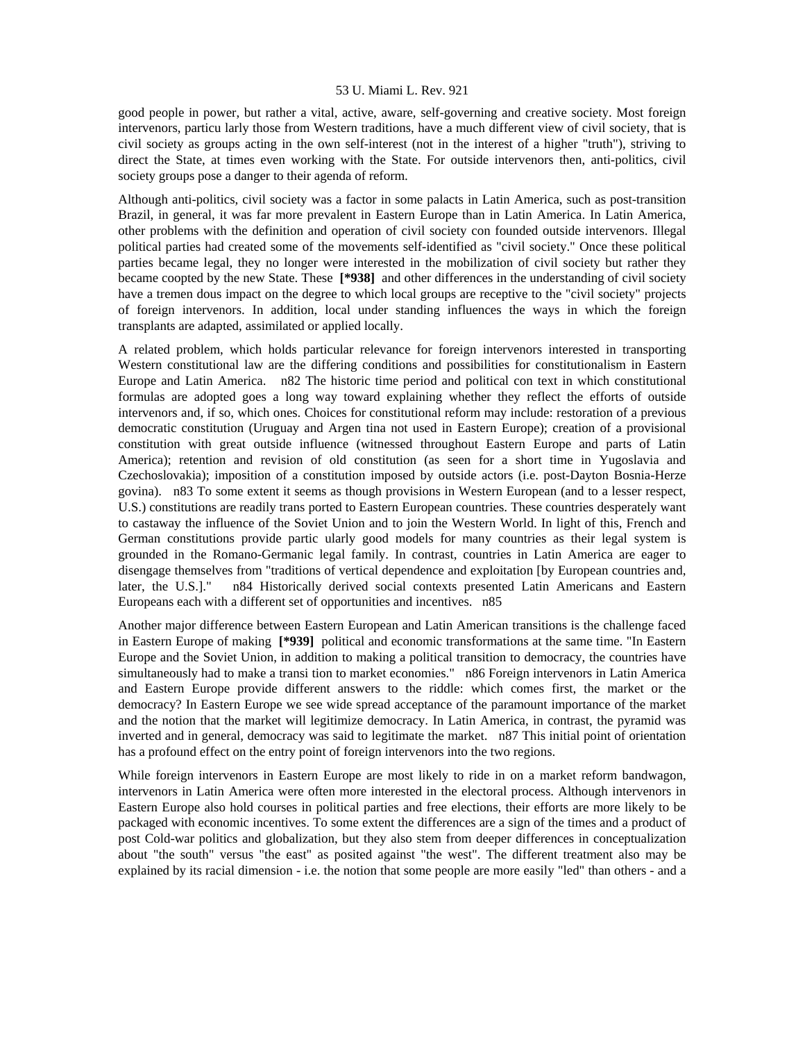good people in power, but rather a vital, active, aware, self-governing and creative society. Most foreign intervenors, particu larly those from Western traditions, have a much different view of civil society, that is civil society as groups acting in the own self-interest (not in the interest of a higher "truth"), striving to direct the State, at times even working with the State. For outside intervenors then, anti-politics, civil society groups pose a danger to their agenda of reform.

Although anti-politics, civil society was a factor in some palacts in Latin America, such as post-transition Brazil, in general, it was far more prevalent in Eastern Europe than in Latin America. In Latin America, other problems with the definition and operation of civil society con founded outside intervenors. Illegal political parties had created some of the movements self-identified as "civil society." Once these political parties became legal, they no longer were interested in the mobilization of civil society but rather they became coopted by the new State. These **[\*938]** and other differences in the understanding of civil society have a tremen dous impact on the degree to which local groups are receptive to the "civil society" projects of foreign intervenors. In addition, local under standing influences the ways in which the foreign transplants are adapted, assimilated or applied locally.

A related problem, which holds particular relevance for foreign intervenors interested in transporting Western constitutional law are the differing conditions and possibilities for constitutionalism in Eastern Europe and Latin America. n82 The historic time period and political con text in which constitutional formulas are adopted goes a long way toward explaining whether they reflect the efforts of outside intervenors and, if so, which ones. Choices for constitutional reform may include: restoration of a previous democratic constitution (Uruguay and Argen tina not used in Eastern Europe); creation of a provisional constitution with great outside influence (witnessed throughout Eastern Europe and parts of Latin America); retention and revision of old constitution (as seen for a short time in Yugoslavia and Czechoslovakia); imposition of a constitution imposed by outside actors (i.e. post-Dayton Bosnia-Herze govina). n83 To some extent it seems as though provisions in Western European (and to a lesser respect, U.S.) constitutions are readily trans ported to Eastern European countries. These countries desperately want to castaway the influence of the Soviet Union and to join the Western World. In light of this, French and German constitutions provide partic ularly good models for many countries as their legal system is grounded in the Romano-Germanic legal family. In contrast, countries in Latin America are eager to disengage themselves from "traditions of vertical dependence and exploitation [by European countries and, later, the U.S.]." n84 Historically derived social contexts presented Latin Americans and Eastern Europeans each with a different set of opportunities and incentives. n85

Another major difference between Eastern European and Latin American transitions is the challenge faced in Eastern Europe of making **[\*939]** political and economic transformations at the same time. "In Eastern Europe and the Soviet Union, in addition to making a political transition to democracy, the countries have simultaneously had to make a transi tion to market economies." n86 Foreign intervenors in Latin America and Eastern Europe provide different answers to the riddle: which comes first, the market or the democracy? In Eastern Europe we see wide spread acceptance of the paramount importance of the market and the notion that the market will legitimize democracy. In Latin America, in contrast, the pyramid was inverted and in general, democracy was said to legitimate the market. n87 This initial point of orientation has a profound effect on the entry point of foreign intervenors into the two regions.

While foreign intervenors in Eastern Europe are most likely to ride in on a market reform bandwagon, intervenors in Latin America were often more interested in the electoral process. Although intervenors in Eastern Europe also hold courses in political parties and free elections, their efforts are more likely to be packaged with economic incentives. To some extent the differences are a sign of the times and a product of post Cold-war politics and globalization, but they also stem from deeper differences in conceptualization about "the south" versus "the east" as posited against "the west". The different treatment also may be explained by its racial dimension - i.e. the notion that some people are more easily "led" than others - and a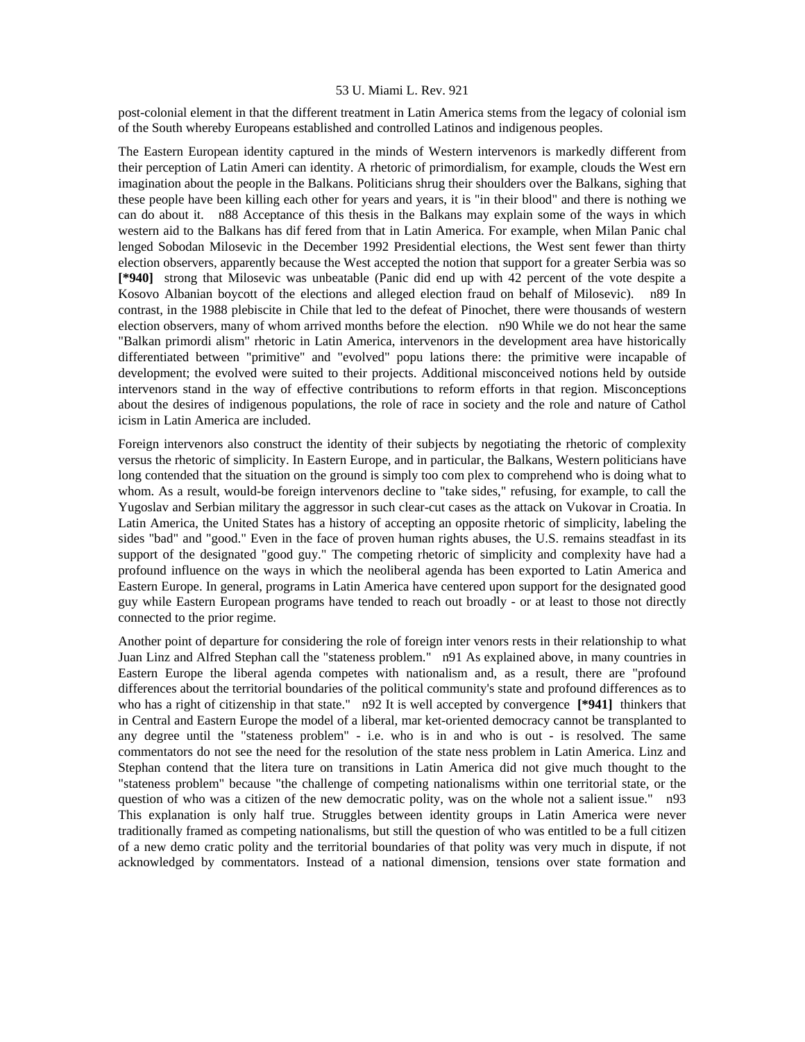post-colonial element in that the different treatment in Latin America stems from the legacy of colonial ism of the South whereby Europeans established and controlled Latinos and indigenous peoples.

The Eastern European identity captured in the minds of Western intervenors is markedly different from their perception of Latin Ameri can identity. A rhetoric of primordialism, for example, clouds the West ern imagination about the people in the Balkans. Politicians shrug their shoulders over the Balkans, sighing that these people have been killing each other for years and years, it is "in their blood" and there is nothing we can do about it. n88 Acceptance of this thesis in the Balkans may explain some of the ways in which western aid to the Balkans has dif fered from that in Latin America. For example, when Milan Panic chal lenged Sobodan Milosevic in the December 1992 Presidential elections, the West sent fewer than thirty election observers, apparently because the West accepted the notion that support for a greater Serbia was so **[\*940]** strong that Milosevic was unbeatable (Panic did end up with 42 percent of the vote despite a Kosovo Albanian boycott of the elections and alleged election fraud on behalf of Milosevic). n89 In contrast, in the 1988 plebiscite in Chile that led to the defeat of Pinochet, there were thousands of western election observers, many of whom arrived months before the election. n90 While we do not hear the same "Balkan primordi alism" rhetoric in Latin America, intervenors in the development area have historically differentiated between "primitive" and "evolved" popu lations there: the primitive were incapable of development; the evolved were suited to their projects. Additional misconceived notions held by outside intervenors stand in the way of effective contributions to reform efforts in that region. Misconceptions about the desires of indigenous populations, the role of race in society and the role and nature of Cathol icism in Latin America are included.

Foreign intervenors also construct the identity of their subjects by negotiating the rhetoric of complexity versus the rhetoric of simplicity. In Eastern Europe, and in particular, the Balkans, Western politicians have long contended that the situation on the ground is simply too com plex to comprehend who is doing what to whom. As a result, would-be foreign intervenors decline to "take sides," refusing, for example, to call the Yugoslav and Serbian military the aggressor in such clear-cut cases as the attack on Vukovar in Croatia. In Latin America, the United States has a history of accepting an opposite rhetoric of simplicity, labeling the sides "bad" and "good." Even in the face of proven human rights abuses, the U.S. remains steadfast in its support of the designated "good guy." The competing rhetoric of simplicity and complexity have had a profound influence on the ways in which the neoliberal agenda has been exported to Latin America and Eastern Europe. In general, programs in Latin America have centered upon support for the designated good guy while Eastern European programs have tended to reach out broadly - or at least to those not directly connected to the prior regime.

Another point of departure for considering the role of foreign inter venors rests in their relationship to what Juan Linz and Alfred Stephan call the "stateness problem." n91 As explained above, in many countries in Eastern Europe the liberal agenda competes with nationalism and, as a result, there are "profound differences about the territorial boundaries of the political community's state and profound differences as to who has a right of citizenship in that state." n92 It is well accepted by convergence **[\*941]** thinkers that in Central and Eastern Europe the model of a liberal, mar ket-oriented democracy cannot be transplanted to any degree until the "stateness problem" - i.e. who is in and who is out - is resolved. The same commentators do not see the need for the resolution of the state ness problem in Latin America. Linz and Stephan contend that the litera ture on transitions in Latin America did not give much thought to the "stateness problem" because "the challenge of competing nationalisms within one territorial state, or the question of who was a citizen of the new democratic polity, was on the whole not a salient issue." n93 This explanation is only half true. Struggles between identity groups in Latin America were never traditionally framed as competing nationalisms, but still the question of who was entitled to be a full citizen of a new demo cratic polity and the territorial boundaries of that polity was very much in dispute, if not acknowledged by commentators. Instead of a national dimension, tensions over state formation and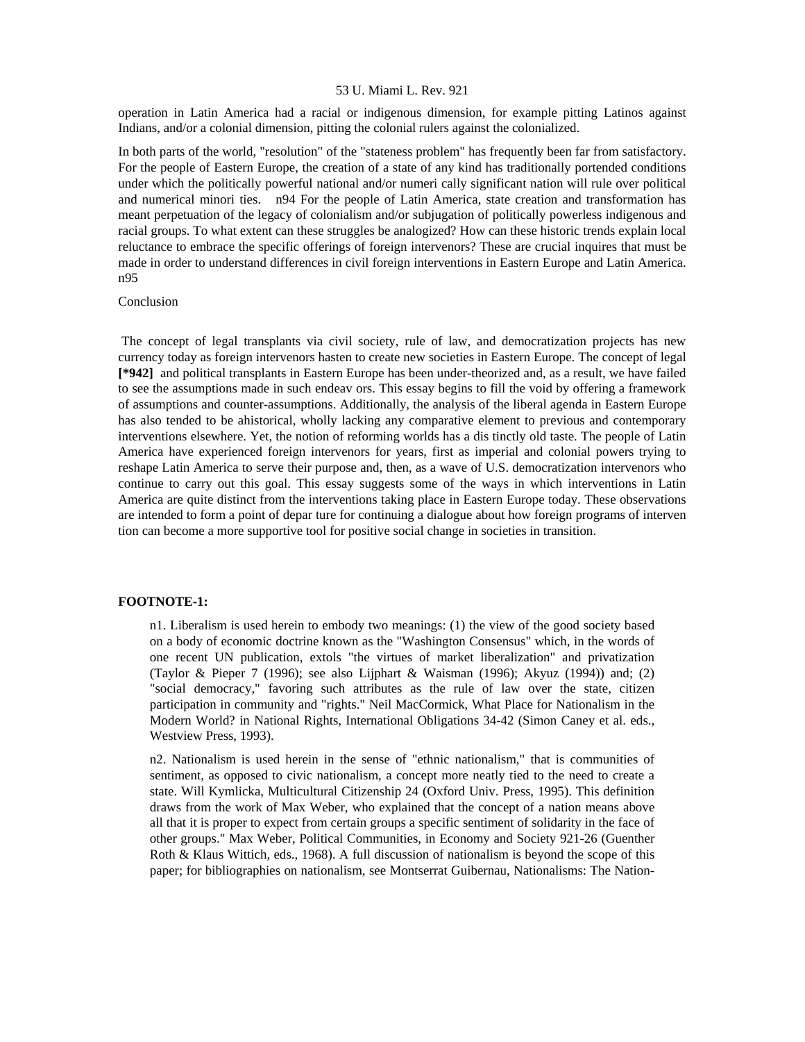operation in Latin America had a racial or indigenous dimension, for example pitting Latinos against Indians, and/or a colonial dimension, pitting the colonial rulers against the colonialized.

In both parts of the world, "resolution" of the "stateness problem" has frequently been far from satisfactory. For the people of Eastern Europe, the creation of a state of any kind has traditionally portended conditions under which the politically powerful national and/or numeri cally significant nation will rule over political and numerical minori ties. n94 For the people of Latin America, state creation and transformation has meant perpetuation of the legacy of colonialism and/or subjugation of politically powerless indigenous and racial groups. To what extent can these struggles be analogized? How can these historic trends explain local reluctance to embrace the specific offerings of foreign intervenors? These are crucial inquires that must be made in order to understand differences in civil foreign interventions in Eastern Europe and Latin America. n95

## Conclusion

 The concept of legal transplants via civil society, rule of law, and democratization projects has new currency today as foreign intervenors hasten to create new societies in Eastern Europe. The concept of legal **[\*942]** and political transplants in Eastern Europe has been under-theorized and, as a result, we have failed to see the assumptions made in such endeav ors. This essay begins to fill the void by offering a framework of assumptions and counter-assumptions. Additionally, the analysis of the liberal agenda in Eastern Europe has also tended to be ahistorical, wholly lacking any comparative element to previous and contemporary interventions elsewhere. Yet, the notion of reforming worlds has a dis tinctly old taste. The people of Latin America have experienced foreign intervenors for years, first as imperial and colonial powers trying to reshape Latin America to serve their purpose and, then, as a wave of U.S. democratization intervenors who continue to carry out this goal. This essay suggests some of the ways in which interventions in Latin America are quite distinct from the interventions taking place in Eastern Europe today. These observations are intended to form a point of depar ture for continuing a dialogue about how foreign programs of interven tion can become a more supportive tool for positive social change in societies in transition.

# **FOOTNOTE-1:**

n1. Liberalism is used herein to embody two meanings: (1) the view of the good society based on a body of economic doctrine known as the "Washington Consensus" which, in the words of one recent UN publication, extols "the virtues of market liberalization" and privatization (Taylor & Pieper 7 (1996); see also Lijphart & Waisman (1996); Akyuz (1994)) and; (2) "social democracy," favoring such attributes as the rule of law over the state, citizen participation in community and "rights." Neil MacCormick, What Place for Nationalism in the Modern World? in National Rights, International Obligations 34-42 (Simon Caney et al. eds., Westview Press, 1993).

n2. Nationalism is used herein in the sense of "ethnic nationalism," that is communities of sentiment, as opposed to civic nationalism, a concept more neatly tied to the need to create a state. Will Kymlicka, Multicultural Citizenship 24 (Oxford Univ. Press, 1995). This definition draws from the work of Max Weber, who explained that the concept of a nation means above all that it is proper to expect from certain groups a specific sentiment of solidarity in the face of other groups." Max Weber, Political Communities, in Economy and Society 921-26 (Guenther Roth & Klaus Wittich, eds., 1968). A full discussion of nationalism is beyond the scope of this paper; for bibliographies on nationalism, see Montserrat Guibernau, Nationalisms: The Nation-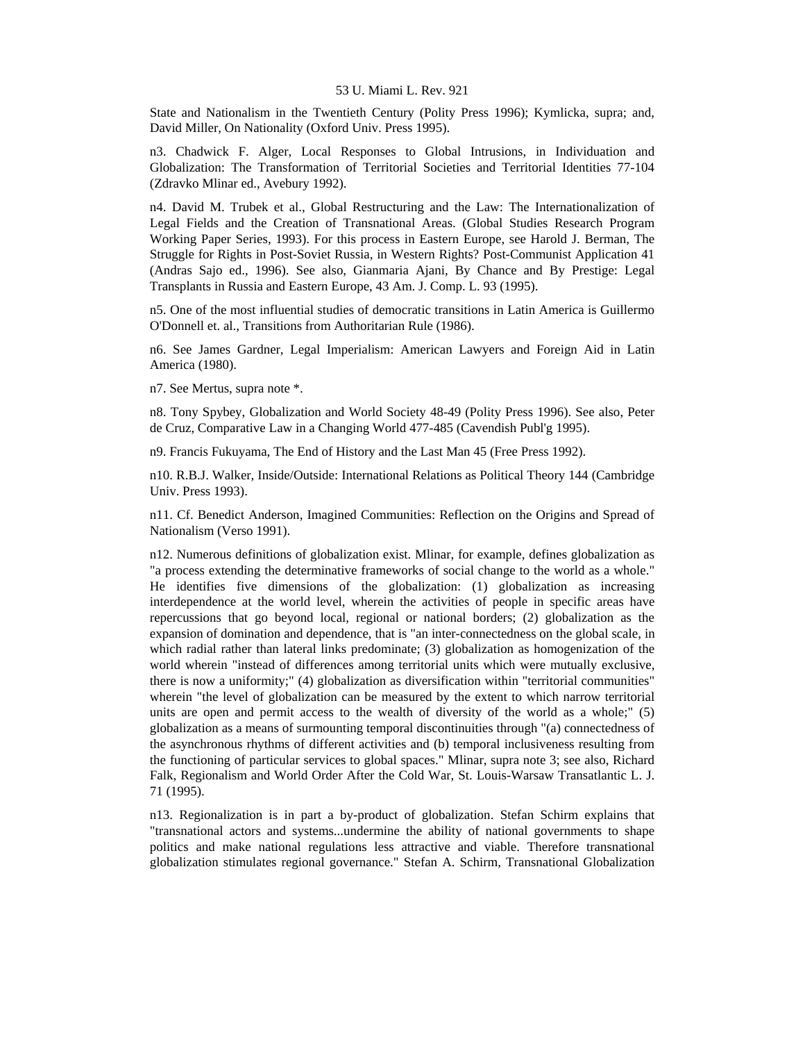State and Nationalism in the Twentieth Century (Polity Press 1996); Kymlicka, supra; and, David Miller, On Nationality (Oxford Univ. Press 1995).

n3. Chadwick F. Alger, Local Responses to Global Intrusions, in Individuation and Globalization: The Transformation of Territorial Societies and Territorial Identities 77-104 (Zdravko Mlinar ed., Avebury 1992).

n4. David M. Trubek et al., Global Restructuring and the Law: The Internationalization of Legal Fields and the Creation of Transnational Areas. (Global Studies Research Program Working Paper Series, 1993). For this process in Eastern Europe, see Harold J. Berman, The Struggle for Rights in Post-Soviet Russia, in Western Rights? Post-Communist Application 41 (Andras Sajo ed., 1996). See also, Gianmaria Ajani, By Chance and By Prestige: Legal Transplants in Russia and Eastern Europe, 43 Am. J. Comp. L. 93 (1995).

n5. One of the most influential studies of democratic transitions in Latin America is Guillermo O'Donnell et. al., Transitions from Authoritarian Rule (1986).

n6. See James Gardner, Legal Imperialism: American Lawyers and Foreign Aid in Latin America (1980).

n7. See Mertus, supra note \*.

n8. Tony Spybey, Globalization and World Society 48-49 (Polity Press 1996). See also, Peter de Cruz, Comparative Law in a Changing World 477-485 (Cavendish Publ'g 1995).

n9. Francis Fukuyama, The End of History and the Last Man 45 (Free Press 1992).

n10. R.B.J. Walker, Inside/Outside: International Relations as Political Theory 144 (Cambridge Univ. Press 1993).

n11. Cf. Benedict Anderson, Imagined Communities: Reflection on the Origins and Spread of Nationalism (Verso 1991).

n12. Numerous definitions of globalization exist. Mlinar, for example, defines globalization as "a process extending the determinative frameworks of social change to the world as a whole." He identifies five dimensions of the globalization: (1) globalization as increasing interdependence at the world level, wherein the activities of people in specific areas have repercussions that go beyond local, regional or national borders; (2) globalization as the expansion of domination and dependence, that is "an inter-connectedness on the global scale, in which radial rather than lateral links predominate; (3) globalization as homogenization of the world wherein "instead of differences among territorial units which were mutually exclusive, there is now a uniformity;" (4) globalization as diversification within "territorial communities" wherein "the level of globalization can be measured by the extent to which narrow territorial units are open and permit access to the wealth of diversity of the world as a whole;" (5) globalization as a means of surmounting temporal discontinuities through "(a) connectedness of the asynchronous rhythms of different activities and (b) temporal inclusiveness resulting from the functioning of particular services to global spaces." Mlinar, supra note 3; see also, Richard Falk, Regionalism and World Order After the Cold War, St. Louis-Warsaw Transatlantic L. J. 71 (1995).

n13. Regionalization is in part a by-product of globalization. Stefan Schirm explains that "transnational actors and systems...undermine the ability of national governments to shape politics and make national regulations less attractive and viable. Therefore transnational globalization stimulates regional governance." Stefan A. Schirm, Transnational Globalization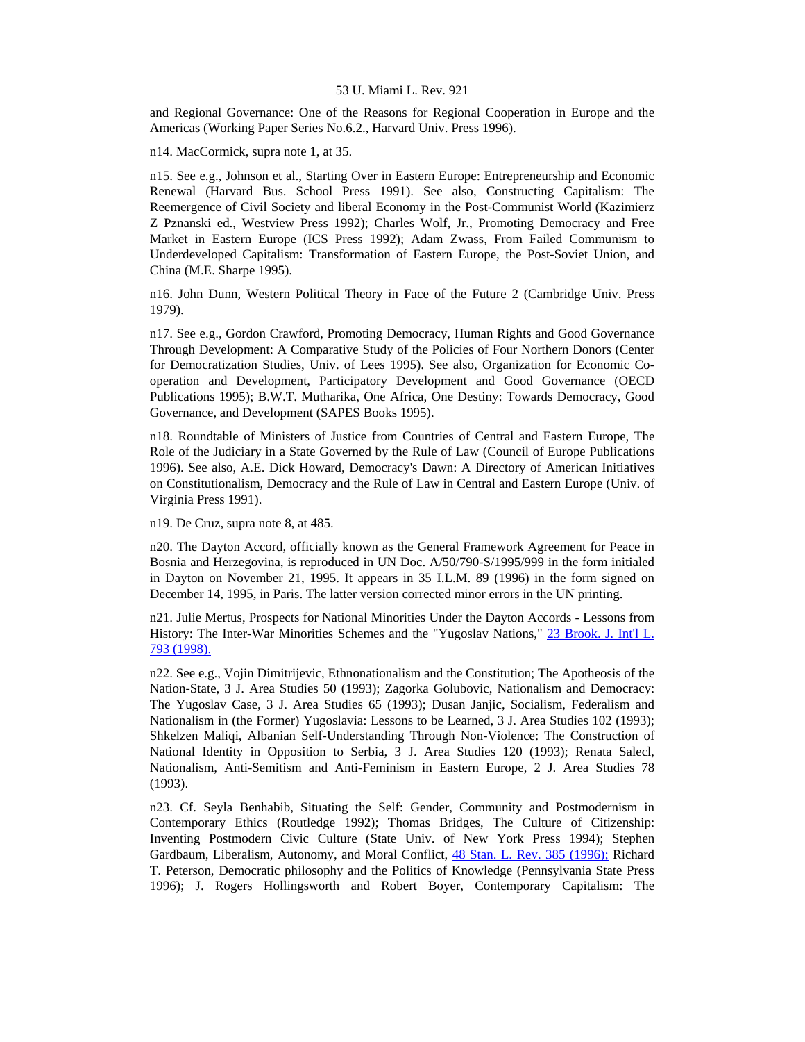and Regional Governance: One of the Reasons for Regional Cooperation in Europe and the Americas (Working Paper Series No.6.2., Harvard Univ. Press 1996).

n14. MacCormick, supra note 1, at 35.

n15. See e.g., Johnson et al., Starting Over in Eastern Europe: Entrepreneurship and Economic Renewal (Harvard Bus. School Press 1991). See also, Constructing Capitalism: The Reemergence of Civil Society and liberal Economy in the Post-Communist World (Kazimierz Z Pznanski ed., Westview Press 1992); Charles Wolf, Jr., Promoting Democracy and Free Market in Eastern Europe (ICS Press 1992); Adam Zwass, From Failed Communism to Underdeveloped Capitalism: Transformation of Eastern Europe, the Post-Soviet Union, and China (M.E. Sharpe 1995).

n16. John Dunn, Western Political Theory in Face of the Future 2 (Cambridge Univ. Press 1979).

n17. See e.g., Gordon Crawford, Promoting Democracy, Human Rights and Good Governance Through Development: A Comparative Study of the Policies of Four Northern Donors (Center for Democratization Studies, Univ. of Lees 1995). See also, Organization for Economic Cooperation and Development, Participatory Development and Good Governance (OECD Publications 1995); B.W.T. Mutharika, One Africa, One Destiny: Towards Democracy, Good Governance, and Development (SAPES Books 1995).

n18. Roundtable of Ministers of Justice from Countries of Central and Eastern Europe, The Role of the Judiciary in a State Governed by the Rule of Law (Council of Europe Publications 1996). See also, A.E. Dick Howard, Democracy's Dawn: A Directory of American Initiatives on Constitutionalism, Democracy and the Rule of Law in Central and Eastern Europe (Univ. of Virginia Press 1991).

n19. De Cruz, supra note 8, at 485.

n20. The Dayton Accord, officially known as the General Framework Agreement for Peace in Bosnia and Herzegovina, is reproduced in UN Doc. A/50/790-S/1995/999 in the form initialed in Dayton on November 21, 1995. It appears in 35 I.L.M. 89 (1996) in the form signed on December 14, 1995, in Paris. The latter version corrected minor errors in the UN printing.

n21. Julie Mertus, Prospects for National Minorities Under the Dayton Accords - Lessons from History: The Inter-War Minorities Schemes and the "Yugoslav Nations," [23 Brook. J. Int'l L.](http://www.lexis.com/research/xlink?searchtype=get&search=23%20Brooklyn%20J.%20Int)  [793 \(1998\).](http://www.lexis.com/research/xlink?searchtype=get&search=23%20Brooklyn%20J.%20Int)

n22. See e.g., Vojin Dimitrijevic, Ethnonationalism and the Constitution; The Apotheosis of the Nation-State, 3 J. Area Studies 50 (1993); Zagorka Golubovic, Nationalism and Democracy: The Yugoslav Case, 3 J. Area Studies 65 (1993); Dusan Janjic, Socialism, Federalism and Nationalism in (the Former) Yugoslavia: Lessons to be Learned, 3 J. Area Studies 102 (1993); Shkelzen Maliqi, Albanian Self-Understanding Through Non-Violence: The Construction of National Identity in Opposition to Serbia, 3 J. Area Studies 120 (1993); Renata Salecl, Nationalism, Anti-Semitism and Anti-Feminism in Eastern Europe, 2 J. Area Studies 78 (1993).

n23. Cf. Seyla Benhabib, Situating the Self: Gender, Community and Postmodernism in Contemporary Ethics (Routledge 1992); Thomas Bridges, The Culture of Citizenship: Inventing Postmodern Civic Culture (State Univ. of New York Press 1994); Stephen Gardbaum, Liberalism, Autonomy, and Moral Conflict, [48 Stan. L. Rev. 385 \(1996\);](http://www.lexis.com/research/xlink?searchtype=get&search=48%20Stan.%20L.%20Rev.%20385) Richard T. Peterson, Democratic philosophy and the Politics of Knowledge (Pennsylvania State Press 1996); J. Rogers Hollingsworth and Robert Boyer, Contemporary Capitalism: The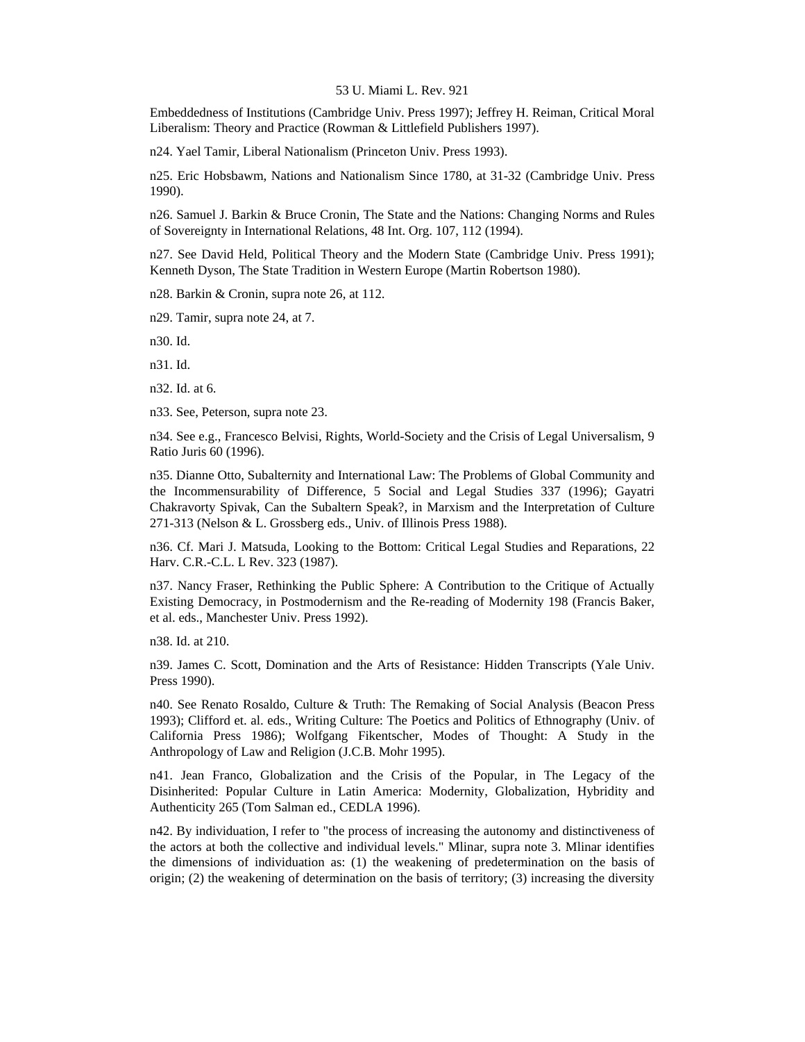Embeddedness of Institutions (Cambridge Univ. Press 1997); Jeffrey H. Reiman, Critical Moral Liberalism: Theory and Practice (Rowman & Littlefield Publishers 1997).

n24. Yael Tamir, Liberal Nationalism (Princeton Univ. Press 1993).

n25. Eric Hobsbawm, Nations and Nationalism Since 1780, at 31-32 (Cambridge Univ. Press 1990).

n26. Samuel J. Barkin & Bruce Cronin, The State and the Nations: Changing Norms and Rules of Sovereignty in International Relations, 48 Int. Org. 107, 112 (1994).

n27. See David Held, Political Theory and the Modern State (Cambridge Univ. Press 1991); Kenneth Dyson, The State Tradition in Western Europe (Martin Robertson 1980).

n28. Barkin & Cronin, supra note 26, at 112.

n29. Tamir, supra note 24, at 7.

n30. Id.

n31. Id.

n32. Id. at 6.

n33. See, Peterson, supra note 23.

n34. See e.g., Francesco Belvisi, Rights, World-Society and the Crisis of Legal Universalism, 9 Ratio Juris 60 (1996).

n35. Dianne Otto, Subalternity and International Law: The Problems of Global Community and the Incommensurability of Difference, 5 Social and Legal Studies 337 (1996); Gayatri Chakravorty Spivak, Can the Subaltern Speak?, in Marxism and the Interpretation of Culture 271-313 (Nelson & L. Grossberg eds., Univ. of Illinois Press 1988).

n36. Cf. Mari J. Matsuda, Looking to the Bottom: Critical Legal Studies and Reparations, 22 Harv. C.R.-C.L. L Rev. 323 (1987).

n37. Nancy Fraser, Rethinking the Public Sphere: A Contribution to the Critique of Actually Existing Democracy, in Postmodernism and the Re-reading of Modernity 198 (Francis Baker, et al. eds., Manchester Univ. Press 1992).

n38. Id. at 210.

n39. James C. Scott, Domination and the Arts of Resistance: Hidden Transcripts (Yale Univ. Press 1990).

n40. See Renato Rosaldo, Culture & Truth: The Remaking of Social Analysis (Beacon Press 1993); Clifford et. al. eds., Writing Culture: The Poetics and Politics of Ethnography (Univ. of California Press 1986); Wolfgang Fikentscher, Modes of Thought: A Study in the Anthropology of Law and Religion (J.C.B. Mohr 1995).

n41. Jean Franco, Globalization and the Crisis of the Popular, in The Legacy of the Disinherited: Popular Culture in Latin America: Modernity, Globalization, Hybridity and Authenticity 265 (Tom Salman ed., CEDLA 1996).

n42. By individuation, I refer to "the process of increasing the autonomy and distinctiveness of the actors at both the collective and individual levels." Mlinar, supra note 3. Mlinar identifies the dimensions of individuation as: (1) the weakening of predetermination on the basis of origin; (2) the weakening of determination on the basis of territory; (3) increasing the diversity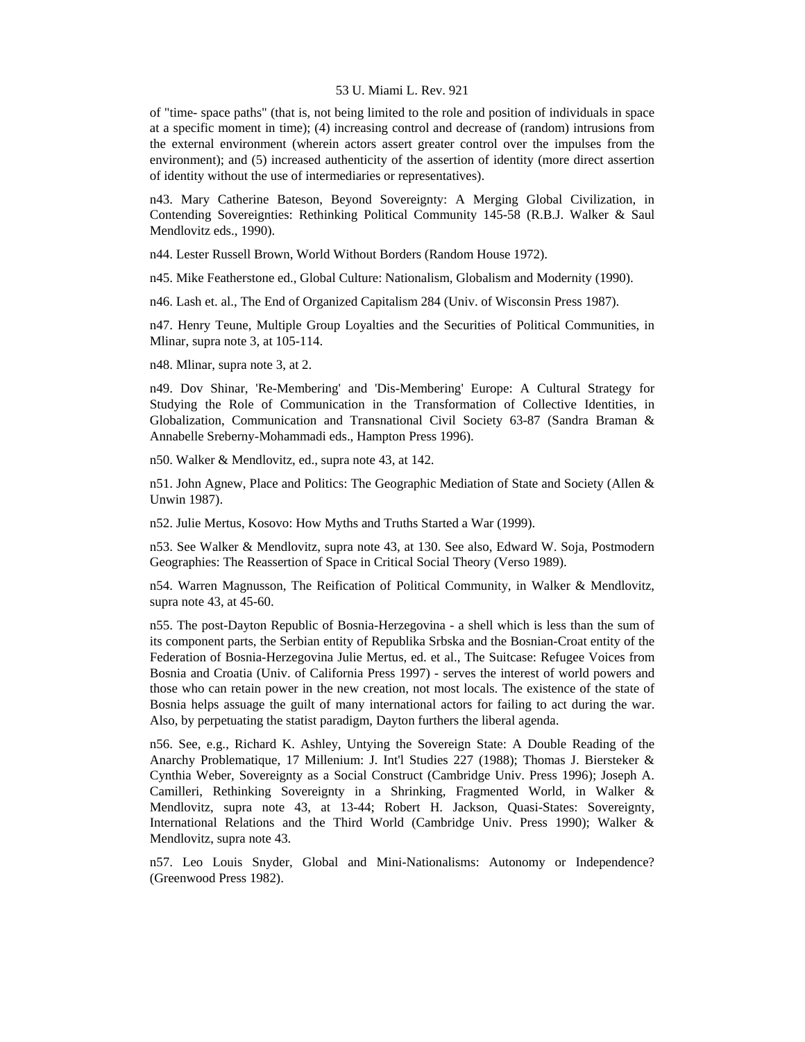of "time- space paths" (that is, not being limited to the role and position of individuals in space at a specific moment in time); (4) increasing control and decrease of (random) intrusions from the external environment (wherein actors assert greater control over the impulses from the environment); and (5) increased authenticity of the assertion of identity (more direct assertion of identity without the use of intermediaries or representatives).

n43. Mary Catherine Bateson, Beyond Sovereignty: A Merging Global Civilization, in Contending Sovereignties: Rethinking Political Community 145-58 (R.B.J. Walker & Saul Mendlovitz eds., 1990).

n44. Lester Russell Brown, World Without Borders (Random House 1972).

n45. Mike Featherstone ed., Global Culture: Nationalism, Globalism and Modernity (1990).

n46. Lash et. al., The End of Organized Capitalism 284 (Univ. of Wisconsin Press 1987).

n47. Henry Teune, Multiple Group Loyalties and the Securities of Political Communities, in Mlinar, supra note 3, at 105-114.

n48. Mlinar, supra note 3, at 2.

n49. Dov Shinar, 'Re-Membering' and 'Dis-Membering' Europe: A Cultural Strategy for Studying the Role of Communication in the Transformation of Collective Identities, in Globalization, Communication and Transnational Civil Society 63-87 (Sandra Braman & Annabelle Sreberny-Mohammadi eds., Hampton Press 1996).

n50. Walker & Mendlovitz, ed., supra note 43, at 142.

n51. John Agnew, Place and Politics: The Geographic Mediation of State and Society (Allen & Unwin 1987).

n52. Julie Mertus, Kosovo: How Myths and Truths Started a War (1999).

n53. See Walker & Mendlovitz, supra note 43, at 130. See also, Edward W. Soja, Postmodern Geographies: The Reassertion of Space in Critical Social Theory (Verso 1989).

n54. Warren Magnusson, The Reification of Political Community, in Walker & Mendlovitz, supra note 43, at 45-60.

n55. The post-Dayton Republic of Bosnia-Herzegovina - a shell which is less than the sum of its component parts, the Serbian entity of Republika Srbska and the Bosnian-Croat entity of the Federation of Bosnia-Herzegovina Julie Mertus, ed. et al., The Suitcase: Refugee Voices from Bosnia and Croatia (Univ. of California Press 1997) - serves the interest of world powers and those who can retain power in the new creation, not most locals. The existence of the state of Bosnia helps assuage the guilt of many international actors for failing to act during the war. Also, by perpetuating the statist paradigm, Dayton furthers the liberal agenda.

n56. See, e.g., Richard K. Ashley, Untying the Sovereign State: A Double Reading of the Anarchy Problematique, 17 Millenium: J. Int'l Studies 227 (1988); Thomas J. Biersteker & Cynthia Weber, Sovereignty as a Social Construct (Cambridge Univ. Press 1996); Joseph A. Camilleri, Rethinking Sovereignty in a Shrinking, Fragmented World, in Walker & Mendlovitz, supra note 43, at 13-44; Robert H. Jackson, Quasi-States: Sovereignty, International Relations and the Third World (Cambridge Univ. Press 1990); Walker & Mendlovitz, supra note 43.

n57. Leo Louis Snyder, Global and Mini-Nationalisms: Autonomy or Independence? (Greenwood Press 1982).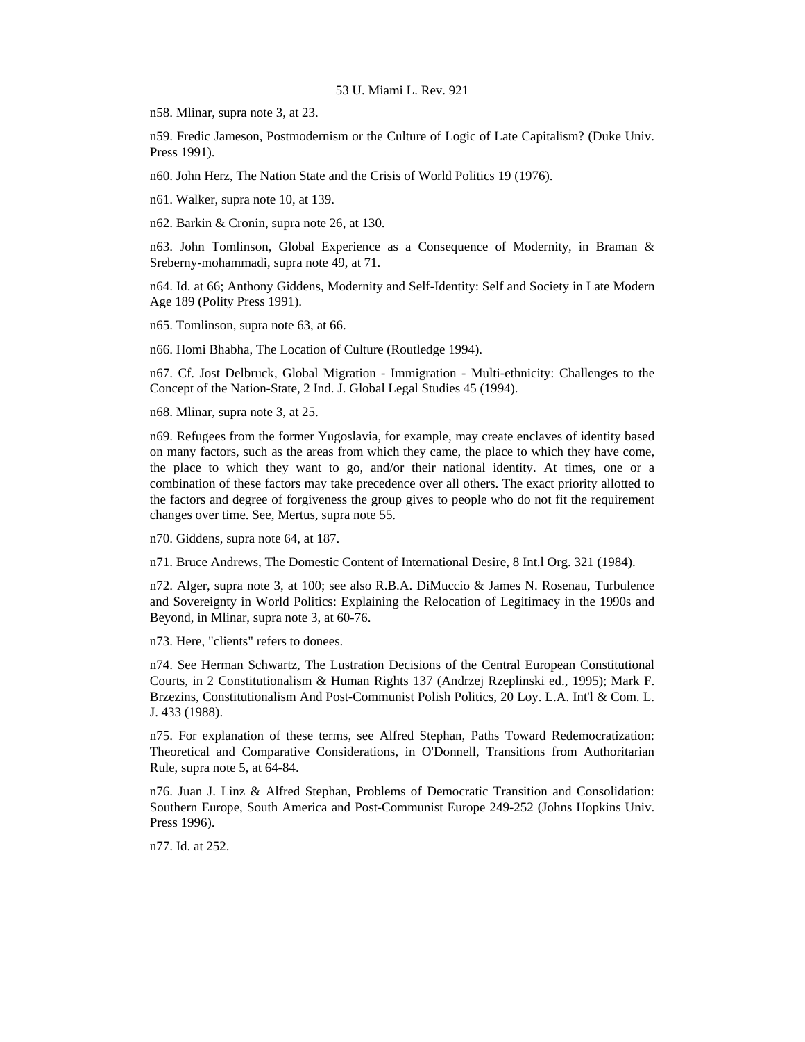n58. Mlinar, supra note 3, at 23.

n59. Fredic Jameson, Postmodernism or the Culture of Logic of Late Capitalism? (Duke Univ. Press 1991).

n60. John Herz, The Nation State and the Crisis of World Politics 19 (1976).

n61. Walker, supra note 10, at 139.

n62. Barkin & Cronin, supra note 26, at 130.

n63. John Tomlinson, Global Experience as a Consequence of Modernity, in Braman & Sreberny-mohammadi, supra note 49, at 71.

n64. Id. at 66; Anthony Giddens, Modernity and Self-Identity: Self and Society in Late Modern Age 189 (Polity Press 1991).

n65. Tomlinson, supra note 63, at 66.

n66. Homi Bhabha, The Location of Culture (Routledge 1994).

n67. Cf. Jost Delbruck, Global Migration - Immigration - Multi-ethnicity: Challenges to the Concept of the Nation-State, 2 Ind. J. Global Legal Studies 45 (1994).

n68. Mlinar, supra note 3, at 25.

n69. Refugees from the former Yugoslavia, for example, may create enclaves of identity based on many factors, such as the areas from which they came, the place to which they have come, the place to which they want to go, and/or their national identity. At times, one or a combination of these factors may take precedence over all others. The exact priority allotted to the factors and degree of forgiveness the group gives to people who do not fit the requirement changes over time. See, Mertus, supra note 55.

n70. Giddens, supra note 64, at 187.

n71. Bruce Andrews, The Domestic Content of International Desire, 8 Int.l Org. 321 (1984).

n72. Alger, supra note 3, at 100; see also R.B.A. DiMuccio & James N. Rosenau, Turbulence and Sovereignty in World Politics: Explaining the Relocation of Legitimacy in the 1990s and Beyond, in Mlinar, supra note 3, at 60-76.

n73. Here, "clients" refers to donees.

n74. See Herman Schwartz, The Lustration Decisions of the Central European Constitutional Courts, in 2 Constitutionalism & Human Rights 137 (Andrzej Rzeplinski ed., 1995); Mark F. Brzezins, Constitutionalism And Post-Communist Polish Politics, 20 Loy. L.A. Int'l & Com. L. J. 433 (1988).

n75. For explanation of these terms, see Alfred Stephan, Paths Toward Redemocratization: Theoretical and Comparative Considerations, in O'Donnell, Transitions from Authoritarian Rule, supra note 5, at 64-84.

n76. Juan J. Linz & Alfred Stephan, Problems of Democratic Transition and Consolidation: Southern Europe, South America and Post-Communist Europe 249-252 (Johns Hopkins Univ. Press 1996).

n77. Id. at 252.